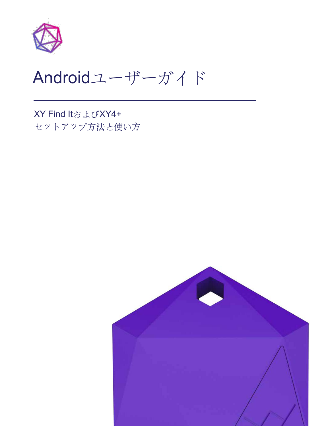

# Androidユーザーガイド

XY Find ItおよびXY4+ セットアップ方法と使い方

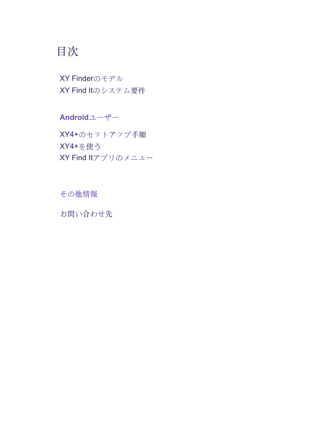# 目次

XY Finderのモデル XY Find Itのシステム要件

Androidユーザー XY4+のセットアップ手順 XY4+を使う XY Find Itアプリのメニュー

その他情報

お問い合わせ先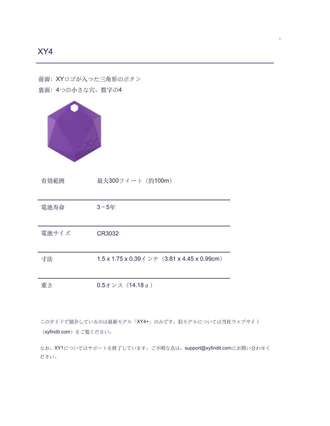前面: XYロゴが入った三角形のボタン 裏面: 4つの小さな穴、数字の4



有効範囲 最大300フィート (約100m)

| 電池寿命  | $3~5$ 年                                                           |
|-------|-------------------------------------------------------------------|
| 電池サイズ | CR3032                                                            |
| 寸法    | 1.5 x 1.75 x 0.39 $\Diamond$ $\lor$ $\neq$ (3.81 x 4.45 x 0.99cm) |

重さ  $0.5$ オンス (14.18 g)

このガイドで紹介しているのは最新モデル「XY4+」のみです。旧モデルについては当社ウェブサイト (xyfindit.com) をご覧ください。

なお、XY1についてはサポートを終了しています。ご不明な点は、support@xyfindit.comにお問い合わせく ださい。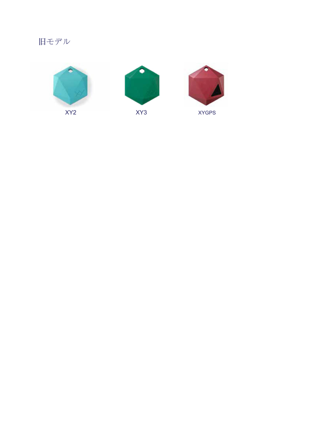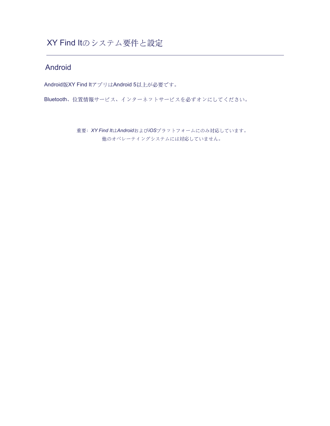# XY Find Itのシステム要件と設定

### Android

Android版XY Find ItアプリはAndroid 5以上が必要です。

Bluetooth、位置情報サービス、インターネットサービスを必ずオンにしてください。

重要: XY Find ItはAndroidおよびiOSプラットフォームにのみ対応しています。 他のオペレーティングシステムには対応していません。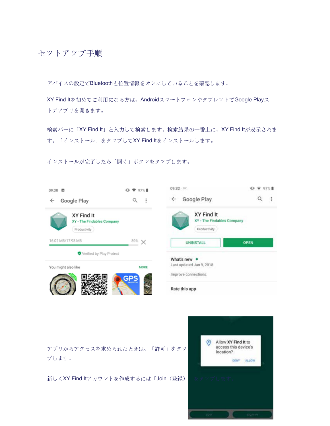デバイスの設定でBluetoothと位置情報をオンにしていることを確認します。

XY Find Itを初めてご利用になる方は、AndroidスマートフォンやタブレットでGoogle Playス トアアプリを開きます。

検索バーに「XY Find It」と入力して検索します。検索結果の一番上に、XY Find Itが表示されま す。「インストール」をタップしてXY Find Itをインストールします。

インストールが完了したら「開く」ボタンをタップします。

| 09:30 图                                                                                                              | $Q$ $\blacktriangledown$ 97% | 09:32 >>                        |  |  |  |
|----------------------------------------------------------------------------------------------------------------------|------------------------------|---------------------------------|--|--|--|
| Google Play<br>$\leftarrow$                                                                                          | ÷<br>Q                       | Google Play<br>I                |  |  |  |
| XY Find It<br>XY Find It<br>XY - The Findables Company<br>XY - The Findables Company<br>Productivity<br>Productivity |                              |                                 |  |  |  |
| 16.02 MB/17.93 MB                                                                                                    | $89\% \times$                | <b>OPEN</b><br><b>UNINSTALL</b> |  |  |  |
| Verified by Play Protect                                                                                             |                              | What's new •                    |  |  |  |
| You might also like                                                                                                  | MORE                         | Last updated Jan 9, 2018        |  |  |  |
|                                                                                                                      | GPS                          | Improve connections.            |  |  |  |
|                                                                                                                      |                              | Rate this app                   |  |  |  |

アプリからアクセスを求められたときは、「許可」をタッ プします。

新しくXY Find Itアカウントを作成するには「Join (登録)

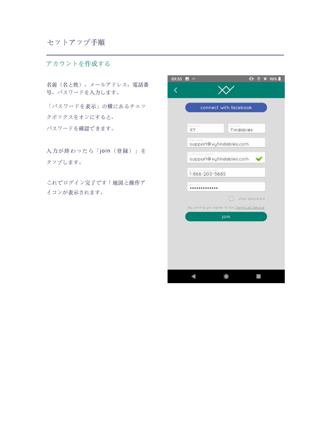#### セットアップ手順

アカウントを作成する

名前(名と姓)、メールアドレス、電話番 号、パスワードを入力します。

「パスワードを表示」の横にあるチェッ クボックスをオンにすると、 パスワードを確認できます。

入力が終わったら「join (登録)」を タップします。

これでログイン完了です!地図と操作ア イコンが表示されます。

| 09:35 | <b>B</b> W                                   |                       | $\bullet$<br>ø | 96% |  |  |
|-------|----------------------------------------------|-----------------------|----------------|-----|--|--|
|       |                                              |                       |                |     |  |  |
|       |                                              | connect with facebook |                |     |  |  |
|       | Tarah Ecamora<br>XY                          | Findables             |                |     |  |  |
|       | support@xyfindables.com                      |                       |                |     |  |  |
|       | support@xyfindables.com                      |                       |                |     |  |  |
|       | Diese in<br>1-866-200-5685                   |                       |                |     |  |  |
|       |                                              |                       |                |     |  |  |
|       | by joining you agree to our Terms of Service | show possword.        |                |     |  |  |
|       |                                              | join                  |                |     |  |  |
|       |                                              |                       |                |     |  |  |
|       |                                              |                       |                |     |  |  |
|       |                                              |                       |                |     |  |  |
|       |                                              |                       |                |     |  |  |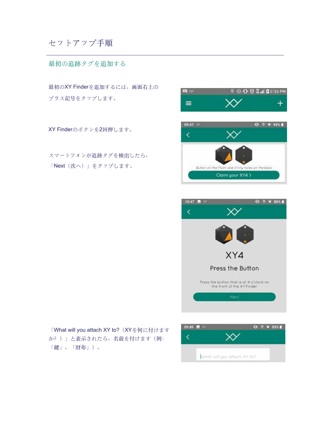# セットアップ手順

#### 最初の追跡タグを追加する

最初のXY Finderを追加するには、画面右上の プラス記号をタップします。

XY Finderのボタンを2回押します。

スマートフォンが追跡タグを検出したら、 「Next (次へ)」をタップします。





「What will you attach XY to? (XYを何に付けます か?)」と表示されたら、名前を付けます(例: 「鍵」、「財布」)。

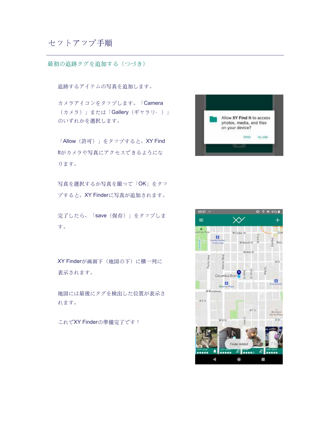#### セットアップ手順

最初の追跡タグを追加する (つづき)

追跡するアイテムの写真を追加します。

カメラアイコンをタップします。「Camera (カメラ)」または「Gallery (ギャラリ-)」 のいずれかを選択します。

「Allow (許可)」をタップすると、XY Find ltがカメラや写真にアクセスできるようにな ります。

写真を選択するか写真を撮って「OK」をタッ プすると、XY Finderに写真が追加されます。

完了したら、「save (保存)」をタップしま す。

XY Finderが画面下 (地図の下)に横一列に 表示されます。

地図には最後にタグを検出した位置が表示さ れます。

これでXY Finderの準備完了です!



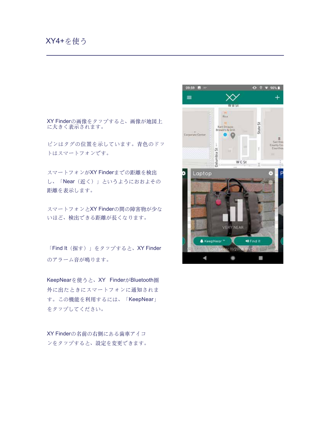#### XY4+を使う

XY Finderの画像をタップすると、画像が地図上 に大きく表示されます。

ピンはタグの位置を示しています。青色のドッ トはスマートフォンです。

スマートフォンがXY Finderまでの距離を検出 し、「Near (近く)」というようにおおよその 距離を表示します。

スマートフォンとXY Finderの間の障害物が少な いほど、検出できる距離が長くなります。

「Find It (探す)」をタップすると、XY Finder のアラーム音が鳴ります。

KeepNearを使うと、XY FinderがBluetooth圏 外に出たときにスマートフォンに通知されま す。この機能を利用するには、「KeepNear」 をタップしてください。

XY Finderの名前の右側にある歯車アイコ ンをタップすると、設定を変更できます。

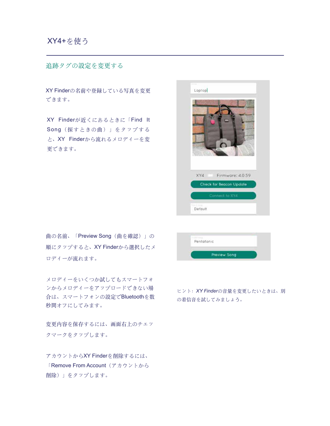追跡タグの設定を変更する

XY Finderの名前や登録している写真を変更 できます。

XY Finderが近くにあるときに「Find It Song (探すときの曲)」をタップする と、XY Finderから流れるメロディーを変 更できます。

| Laptop                                                               |
|----------------------------------------------------------------------|
|                                                                      |
| XY4<br>Firmware: 4.0.59<br>Check for Beacon Update<br>Connect to XY4 |
| Default                                                              |

曲の名前、「Preview Song (曲を確認)」の 順にタップすると、XY Finderから選択したメ ロデイーが流れます。

メロディーをいくつか試してもスマートフォ ンからメロディーをアップロードできない場 合は、スマートフォンの設定でBluetoothを数 秒間オフにしてみます。

変更内容を保存するには、画面右上のチェッ クマークをタップします。

アカウントからXY Finderを削除するには、 「Remove From Account (アカウントから 削除)」をタップします。

Pentatonic Preview Song

ヒント: XY Finderの音量を変更したいときは、別 の着信音を試してみましょう。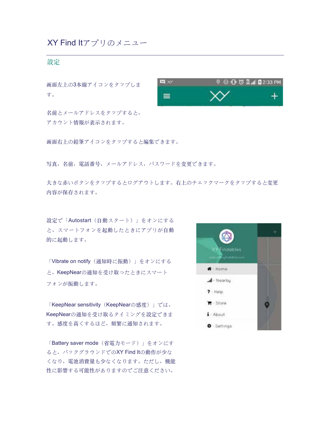# XY Find Itアプリのメニュー

#### 設定

画面左上の3本線アイコンをタップしま す。

名前とメールアドレスをタップすると、 アカウント情報が表示されます。



画面右上の鉛筆アイコンをタップすると編集できます。

写真、名前、電話番号、メールアドレス、パスワードを変更できます。

大きな赤いボタンをタップするとログアウトします。右上のチェックマークをタップすると変更 内容が保存されます。

設定で「Autostart (自動スタート)」をオンにする と、スマートフォンを起動したときにアプリが自動 的に起動します。

「Vibrate on notify (通知時に振動)」をオンにする と、KeepNearの通知を受け取ったときにスマート フォンが振動します。

「KeepNear sensitivity (KeepNearの感度)」では、 KeepNearの通知を受け取るタイミングを設定できま す。感度を高くするほど、頻繁に通知されます。

「Battery saver mode (省電力モード)」をオンにす ると、バックグラウンドでのXY Find Itの動作が少な くなり、電池消費量も少なくなります。ただし、機能 性に影響する可能性がありますのでご注意ください。

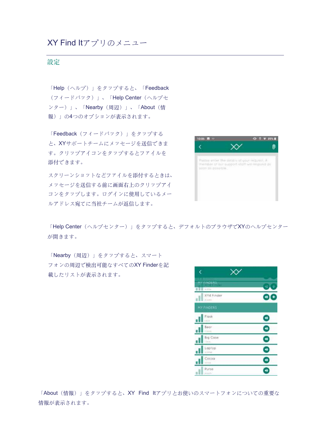### XY Find Itアプリのメニュー

#### 設定

「Help (ヘルプ)」をタップすると、「Feedback (フィードバック)」、「Help Center (ヘルプセ ンター)」、「Nearby (周辺)」、「About (情 報)」の4つのオプションが表示されます。

「Feedback (フィードバック) 」をタップする と、XYサポートチームにメッセージを送信できま す。クリップアイコンをタップするとファイルを 添付できます。

スクリーンショットなどファイルを添付するときは、 メッセージを送信する前に画面右上のクリップアイ コンをタップします。ログインに使用しているメー ルアドレス宛てに当社チームが返信します。



「Help Center(ヘルプセンター)」をタップすると、デフォルトのブラウザでXYのヘルプセンター が開きます。

「Nearby (周辺)」をタップすると、スマート フォンの周辺で検出可能なすべてのXY Finderを記 載したリストが表示されます。



「About (情報)」をタップすると、XY Find Itアプリとお使いのスマートフォンについての重要な 情報が表示されます。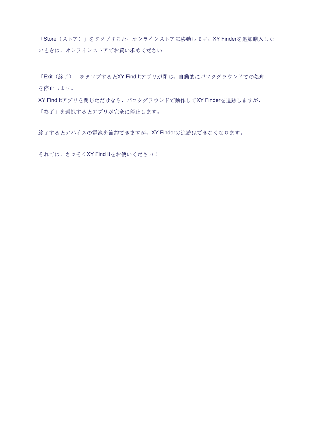「Store (ストア)」をタップすると、オンラインストアに移動します。XY Finderを追加購入した いときは、オンラインストアでお買い求めください。

「Exit (終了)」をタップするとXY Find ltアプリが閉じ、自動的にバックグラウンドでの処理 を停止します。

XY Find Itアプリを閉じただけなら、バックグラウンドで動作してXY Finderを追跡しますが、 「終了」を選択するとアプリが完全に停止します。

終了するとデバイスの電池を節約できますが、XY Finderの追跡はできなくなります。

それでは、さっそくXY Find Itをお使いください!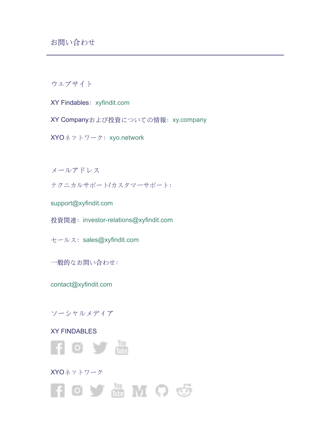ウェブサイト

- XY Findables: xyfindit.com
- XY Companyおよび投資についての情報: xy.company
- XYOネットワーク: xyo.network

メールアドレス

テクニカルサポート/カスタマーサポート:

support@xyfindit.com

- 投資関連: investor-relations@xyfindit.com
- セールス: sales@xyfindit.com
- 一般的なお問い合わせ:

contact@xyfindit.com

#### ソーシャルメディア

#### XY FINDABLES



XYOネットワーク